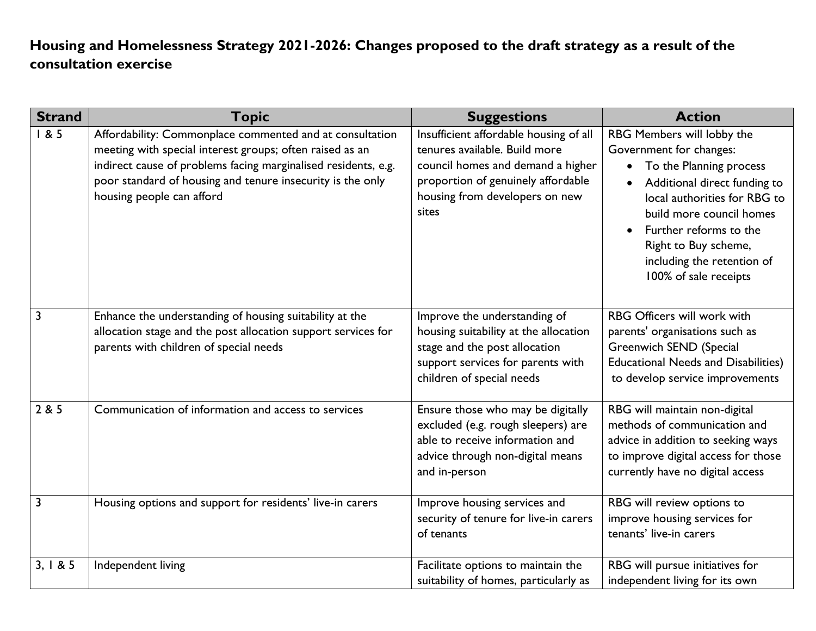## **Housing and Homelessness Strategy 2021-2026: Changes proposed to the draft strategy as a result of the consultation exercise**

| <b>Strand</b>  | <b>Topic</b>                                                                                                                                                                                                                                                                      | <b>Suggestions</b>                                                                                                                                                                            | <b>Action</b>                                                                                                                                                                                                                                                                                        |
|----------------|-----------------------------------------------------------------------------------------------------------------------------------------------------------------------------------------------------------------------------------------------------------------------------------|-----------------------------------------------------------------------------------------------------------------------------------------------------------------------------------------------|------------------------------------------------------------------------------------------------------------------------------------------------------------------------------------------------------------------------------------------------------------------------------------------------------|
| 185            | Affordability: Commonplace commented and at consultation<br>meeting with special interest groups; often raised as an<br>indirect cause of problems facing marginalised residents, e.g.<br>poor standard of housing and tenure insecurity is the only<br>housing people can afford | Insufficient affordable housing of all<br>tenures available. Build more<br>council homes and demand a higher<br>proportion of genuinely affordable<br>housing from developers on new<br>sites | RBG Members will lobby the<br>Government for changes:<br>• To the Planning process<br>Additional direct funding to<br>local authorities for RBG to<br>build more council homes<br>Further reforms to the<br>$\bullet$<br>Right to Buy scheme,<br>including the retention of<br>100% of sale receipts |
| $\overline{3}$ | Enhance the understanding of housing suitability at the<br>allocation stage and the post allocation support services for<br>parents with children of special needs                                                                                                                | Improve the understanding of<br>housing suitability at the allocation<br>stage and the post allocation<br>support services for parents with<br>children of special needs                      | <b>RBG Officers will work with</b><br>parents' organisations such as<br><b>Greenwich SEND (Special</b><br><b>Educational Needs and Disabilities)</b><br>to develop service improvements                                                                                                              |
| 2 & 5          | Communication of information and access to services                                                                                                                                                                                                                               | Ensure those who may be digitally<br>excluded (e.g. rough sleepers) are<br>able to receive information and<br>advice through non-digital means<br>and in-person                               | RBG will maintain non-digital<br>methods of communication and<br>advice in addition to seeking ways<br>to improve digital access for those<br>currently have no digital access                                                                                                                       |
| 3              | Housing options and support for residents' live-in carers                                                                                                                                                                                                                         | Improve housing services and<br>security of tenure for live-in carers<br>of tenants                                                                                                           | RBG will review options to<br>improve housing services for<br>tenants' live-in carers                                                                                                                                                                                                                |
| 3, 1 & 8 & 5   | Independent living                                                                                                                                                                                                                                                                | Facilitate options to maintain the<br>suitability of homes, particularly as                                                                                                                   | RBG will pursue initiatives for<br>independent living for its own                                                                                                                                                                                                                                    |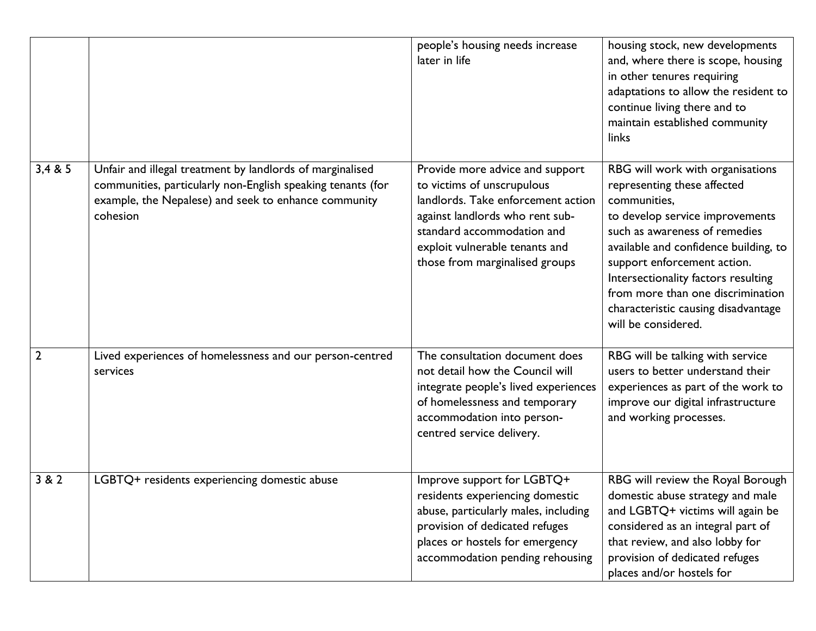|                |                                                                                                                                                                                              | people's housing needs increase<br>later in life                                                                                                                                                                                         | housing stock, new developments<br>and, where there is scope, housing<br>in other tenures requiring<br>adaptations to allow the resident to<br>continue living there and to<br>maintain established community<br>links                                                                                                                                                |
|----------------|----------------------------------------------------------------------------------------------------------------------------------------------------------------------------------------------|------------------------------------------------------------------------------------------------------------------------------------------------------------------------------------------------------------------------------------------|-----------------------------------------------------------------------------------------------------------------------------------------------------------------------------------------------------------------------------------------------------------------------------------------------------------------------------------------------------------------------|
| 3,4 & 5        | Unfair and illegal treatment by landlords of marginalised<br>communities, particularly non-English speaking tenants (for<br>example, the Nepalese) and seek to enhance community<br>cohesion | Provide more advice and support<br>to victims of unscrupulous<br>landlords. Take enforcement action<br>against landlords who rent sub-<br>standard accommodation and<br>exploit vulnerable tenants and<br>those from marginalised groups | RBG will work with organisations<br>representing these affected<br>communities,<br>to develop service improvements<br>such as awareness of remedies<br>available and confidence building, to<br>support enforcement action.<br>Intersectionality factors resulting<br>from more than one discrimination<br>characteristic causing disadvantage<br>will be considered. |
| $\overline{2}$ | Lived experiences of homelessness and our person-centred<br>services                                                                                                                         | The consultation document does<br>not detail how the Council will<br>integrate people's lived experiences<br>of homelessness and temporary<br>accommodation into person-<br>centred service delivery.                                    | RBG will be talking with service<br>users to better understand their<br>experiences as part of the work to<br>improve our digital infrastructure<br>and working processes.                                                                                                                                                                                            |
| 3 & 2          | LGBTQ+ residents experiencing domestic abuse                                                                                                                                                 | Improve support for LGBTQ+<br>residents experiencing domestic<br>abuse, particularly males, including<br>provision of dedicated refuges<br>places or hostels for emergency<br>accommodation pending rehousing                            | RBG will review the Royal Borough<br>domestic abuse strategy and male<br>and LGBTQ+ victims will again be<br>considered as an integral part of<br>that review, and also lobby for<br>provision of dedicated refuges<br>places and/or hostels for                                                                                                                      |